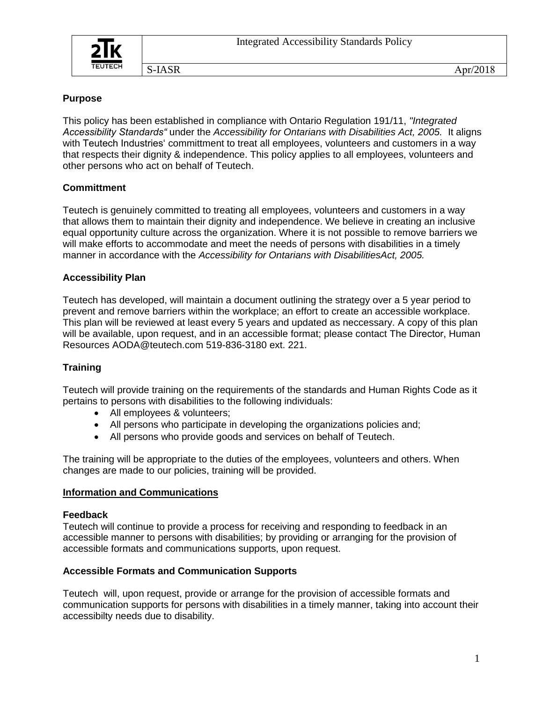

# **Purpose**

This policy has been established in compliance with Ontario Regulation 191/11, *"Integrated Accessibility Standards"* under the *Accessibility for Ontarians with Disabilities Act, 2005.* It aligns with Teutech Industries' committment to treat all employees, volunteers and customers in a way that respects their dignity & independence. This policy applies to all employees, volunteers and other persons who act on behalf of Teutech.

# **Committment**

Teutech is genuinely committed to treating all employees, volunteers and customers in a way that allows them to maintain their dignity and independence. We believe in creating an inclusive equal opportunity culture across the organization. Where it is not possible to remove barriers we will make efforts to accommodate and meet the needs of persons with disabilities in a timely manner in accordance with the *Accessibility for Ontarians with DisabilitiesAct, 2005.*

## **Accessibility Plan**

Teutech has developed, will maintain a document outlining the strategy over a 5 year period to prevent and remove barriers within the workplace; an effort to create an accessible workplace. This plan will be reviewed at least every 5 years and updated as neccessary. A copy of this plan will be available, upon request, and in an accessible format; please contact The Director, Human Resources AODA@teutech.com 519-836-3180 ext. 221.

## **Training**

Teutech will provide training on the requirements of the standards and Human Rights Code as it pertains to persons with disabilities to the following individuals:

- All employees & volunteers;
- All persons who participate in developing the organizations policies and;
- All persons who provide goods and services on behalf of Teutech.

The training will be appropriate to the duties of the employees, volunteers and others. When changes are made to our policies, training will be provided.

## **Information and Communications**

#### **Feedback**

Teutech will continue to provide a process for receiving and responding to feedback in an accessible manner to persons with disabilities; by providing or arranging for the provision of accessible formats and communications supports, upon request.

## **Accessible Formats and Communication Supports**

Teutech will, upon request, provide or arrange for the provision of accessible formats and communication supports for persons with disabilities in a timely manner, taking into account their accessibilty needs due to disability.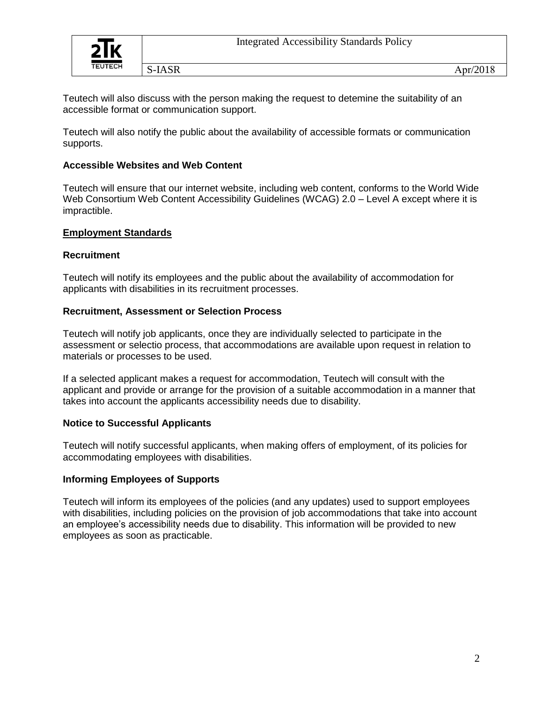

Teutech will also discuss with the person making the request to detemine the suitability of an accessible format or communication support.

Teutech will also notify the public about the availability of accessible formats or communication supports.

### **Accessible Websites and Web Content**

Teutech will ensure that our internet website, including web content, conforms to the World Wide Web Consortium Web Content Accessibility Guidelines (WCAG) 2.0 – Level A except where it is impractible.

#### **Employment Standards**

### **Recruitment**

Teutech will notify its employees and the public about the availability of accommodation for applicants with disabilities in its recruitment processes.

### **Recruitment, Assessment or Selection Process**

Teutech will notify job applicants, once they are individually selected to participate in the assessment or selectio process, that accommodations are available upon request in relation to materials or processes to be used.

If a selected applicant makes a request for accommodation, Teutech will consult with the applicant and provide or arrange for the provision of a suitable accommodation in a manner that takes into account the applicants accessibility needs due to disability.

## **Notice to Successful Applicants**

Teutech will notify successful applicants, when making offers of employment, of its policies for accommodating employees with disabilities.

## **Informing Employees of Supports**

Teutech will inform its employees of the policies (and any updates) used to support employees with disabilities, including policies on the provision of job accommodations that take into account an employee's accessibility needs due to disability. This information will be provided to new employees as soon as practicable.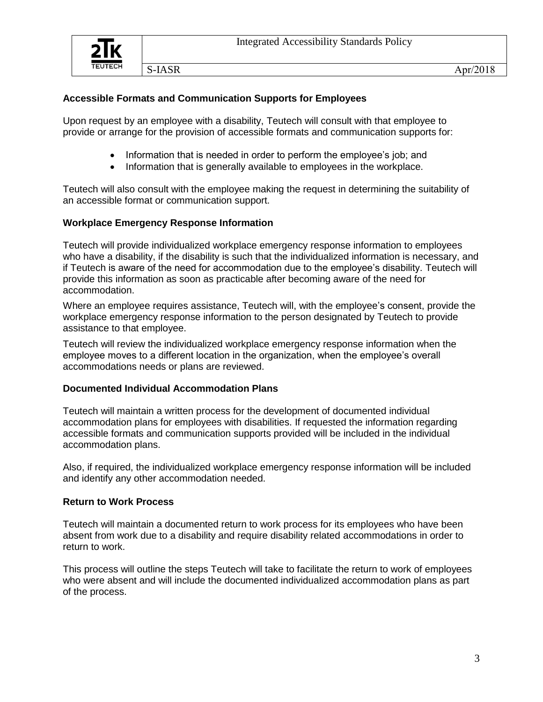# **Accessible Formats and Communication Supports for Employees**

Upon request by an employee with a disability, Teutech will consult with that employee to provide or arrange for the provision of accessible formats and communication supports for:

- Information that is needed in order to perform the employee's job; and
- Information that is generally available to employees in the workplace.

Teutech will also consult with the employee making the request in determining the suitability of an accessible format or communication support.

# **Workplace Emergency Response Information**

Teutech will provide individualized workplace emergency response information to employees who have a disability, if the disability is such that the individualized information is necessary, and if Teutech is aware of the need for accommodation due to the employee's disability. Teutech will provide this information as soon as practicable after becoming aware of the need for accommodation.

Where an employee requires assistance, Teutech will, with the employee's consent, provide the workplace emergency response information to the person designated by Teutech to provide assistance to that employee.

Teutech will review the individualized workplace emergency response information when the employee moves to a different location in the organization, when the employee's overall accommodations needs or plans are reviewed.

## **Documented Individual Accommodation Plans**

Teutech will maintain a written process for the development of documented individual accommodation plans for employees with disabilities. If requested the information regarding accessible formats and communication supports provided will be included in the individual accommodation plans.

Also, if required, the individualized workplace emergency response information will be included and identify any other accommodation needed.

## **Return to Work Process**

Teutech will maintain a documented return to work process for its employees who have been absent from work due to a disability and require disability related accommodations in order to return to work.

This process will outline the steps Teutech will take to facilitate the return to work of employees who were absent and will include the documented individualized accommodation plans as part of the process.